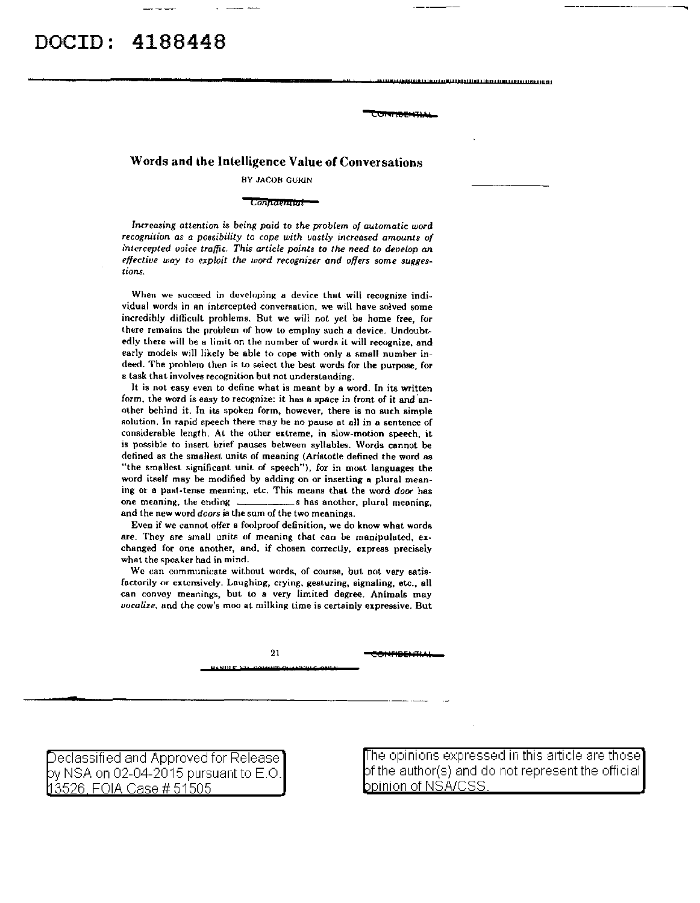Words and lhe lnlelligence Value of Conversations

BY JACOB GURIN

## Connaennui

*Increaaing attention is being paid* to *the problem of automatic word*  recognition as a possibility to cope with vastly increased amounts of *intercepted uoice traffic. This article points to the need to develop an*  effective way to exploit the word recognizer and offers some sugges*tions.* 

When we succeed in developing a device that will recognize individual words in an intercepted conversation, we will have solved some incredibly difficult problems. But we will not yet be home free, for there remains the problem of how to employ such a device. Undoubtedly there will be a limit on the number of words it will recognize, and early models will likely be able to cope with only a small number indeed. The problem lhen is to select the best words for lhe purpose, for a task that involves recognition but not understanding.

It is not easy even to define what is meant by a word. In its written form, the word is easy to recognize: it has a space in front of it and another behind it. In its spoken form, however, there is no such simple solution. In rapid speech there may be no pause at all in a sentence of considerable length. At the other extreme, in slow-motion speech, it is possible to insert brief pauses between syllables. Words cannot be defined as the smallest units of meaning (Ariatotle defined the word as "the smallest significant unit of speech"), for in most languages the word itself may be modified by adding on or inserting a plural meaning or a past-tense meaning, etc. This means that the word *door* has one meaning, the ending strategies are shas another, plural meaning, and the new word *doors* ia the sum of the two meanings.

Even if we cannot offer e foolproof definition, we do know what words are. They are small units of meaning that can be manipulated, exchanged for one another, and, if chosen correclly, express precisely what the speaker had in mind.

We can communicate without words, of course, but not very satisfactorily or extensively. Laughing, crying, gesturing, signaling, etc., all can convey meanings, but to a very limited degree. Animals may *uocalize*, and the cow's moo at milking time is certainly expressive. But

21 es: IFll!ll!: r · <sup>L</sup>

Comment Li

.<br>Antara de la torre de Mara de Para de Mara de La Cara de Mara de La Cara de La Cara de La Cara de La Cara de

\_!eclassified and Approved for Release by NSA on 02-04-2015 pursuant to E.O. 3526 FOIA Case# 51505

he opinions expressed in this article are those  $pf$  the author(s) and do not represent the official bpinion of NSA/CSS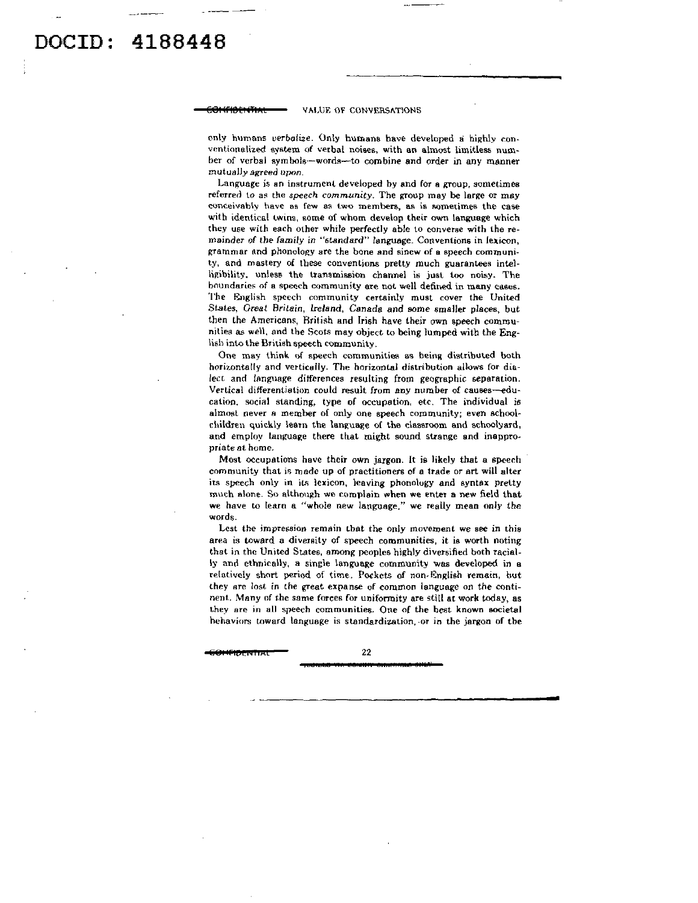## 4188448 DOCTD :

## VALUE OF CONVERSATIONS

only humans verbalize. Only humans have developed a highly conventionalized system of verbal noises, with an almost limitless numher of verbal symbols--words--to combine and order in any manner mutually agreed upon.

Language is an instrument developed by and for a group, sometimes referred to as the speech community. The group may be large or may conceivably have as few as two members, as is sometimes the case with identical twins, some of whom develop their own language which they use with each other while perfectly able to converse with the remainder of the family in "standard" language. Conventions in lexicon, grammar and phonology are the bone and sinew of a speech community, and mastery of these conventions pretty much guarantees intelligibility, unless the transmission channel is just too noisy. The boundaries of a speech community are not well defined in many cases. The English speech community certainly must cover the United States, Great Britain, Ireland, Canada and some smaller places, but then the Americans, British and Irish have their own speech communities as well, and the Scots may object to being lumped with the English into the British speech community.

One may think of speech communities as being distributed both horizontally and vertically. The horizontal distribution allows for dialect and language differences resulting from geographic separation. Vertical differentiation could result from any number of causes-education, social standing, type of occupation, etc. The individual is almost never a member of only one speech community; even achoolchildren quickly learn the language of the classroom and schoolyard, and employ language there that might sound strange and inappropriate at home.

Most occupations have their own jargon. It is likely that a speech community that is made up of practitioners of a trade or art will alter its speech only in its lexicon, leaving phonology and syntax pretty much alone. So although we complain when we enter a new field that we have to learn a "whole new language," we really mean only the words.

Lest the impression remain that the only movement we see in this area is toward a diversity of speech communities, it is worth noting that in the United States, among peoples highly diversified both racially and ethnically, a single language community was developed in a relatively short period of time. Pockets of non-English remain, but they are lost in the great expanse of common language on the continent. Many of the same forces for uniformity are still at work today, as they are in all speech communities. One of the best known societal hehaviors toward language is standardization, or in the jargon of the

22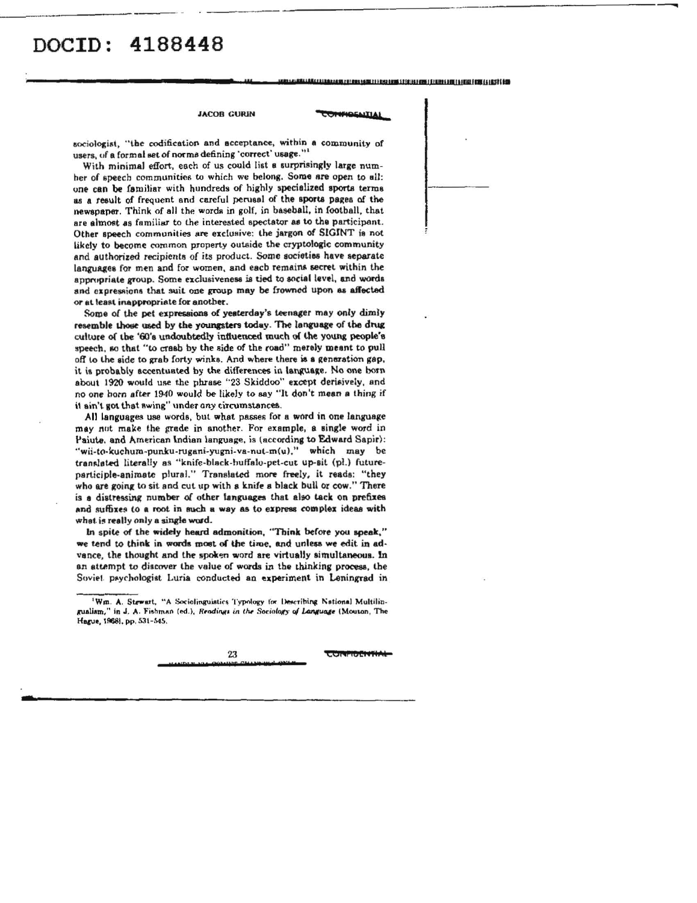### **JACOB GURIN**

# *<u>PROGRAMACATIAL</u>*

sociologist, "the codification and acceptance, within a community of users, of a formal set of norms defining 'correct' usage."

With minimal effort, each of us could list a surprisingly large numher of speech communities to which we belong. Some are open to all: one can be familiar with hundreds of highly specialized sports terms as a result of frequent and careful perusal of the sports pages of the newspaper. Think of all the words in golf, in baseball, in football, that are almost as familiar to the interested spectator as to the participant. Other speech communities are exclusive: the jargon of SIGINT is not likely to become common property outside the cryptologic community and authorized recipients of its product. Some societies have separate languages for men and for women, and each remains secret within the appropriate group. Some exclusiveness is tied to social level, and words and expressions that suit one group may be frowned upon as affected or at least inappropriate for another.

Some of the pet expressions of yesterday's teenager may only dimly resemble those used by the youngsters today. The language of the drug culture of the '60's undoubtedly influenced much of the young people's speech, so that "to crasb by the side of the road" merely meant to pull off to the side to grab forty winks. And where there is a generation gap, it is probably accentuated by the differences in language. No one born about 1920 would use the phrase "23 Skiddoo" except derisively, and no one born after 1940 would be likely to say "It don't mean a thing if it ain't got that swing" under any circumstances.

All languages use words, but what passes for a word in one language may not make the grade in another. For example, a single word in Paiute, and American Indian language, is (according to Edward Sapir): "wii-to-kuchum-punku-rugani-yugni-va-nut-m(u)," which may be translated literally as "knife-black-huffalo-pet-cut up-sit (pl.) futureparticiple-animate plural." Translated more freely, it reads: "they who are going to sit and cut up with a knife a black bull or cow." There is a distressing number of other languages that also tack on prefixes and suffixes to a root in such a way as to express complex ideas with what is really only a single word.

In spite of the widely heard admonition, "Think before you speak," we tend to think in words most of the time, and unless we edit in advance, the thought and the spoken word are virtually simultaneous. In an attempt to discover the value of words in the thinking process, the Soviet psychologist Luria conducted an experiment in Leningrad in

23

**COMMOCIVII** 

<sup>&#</sup>x27;Wm. A. Stewart, "A Sociolinguistics Typology for Describing National Multilingualism," in J. A. Fishman (ed.), Readings in the Sociology of Language (Mouton, The Hague, 1968), pp. 531-545.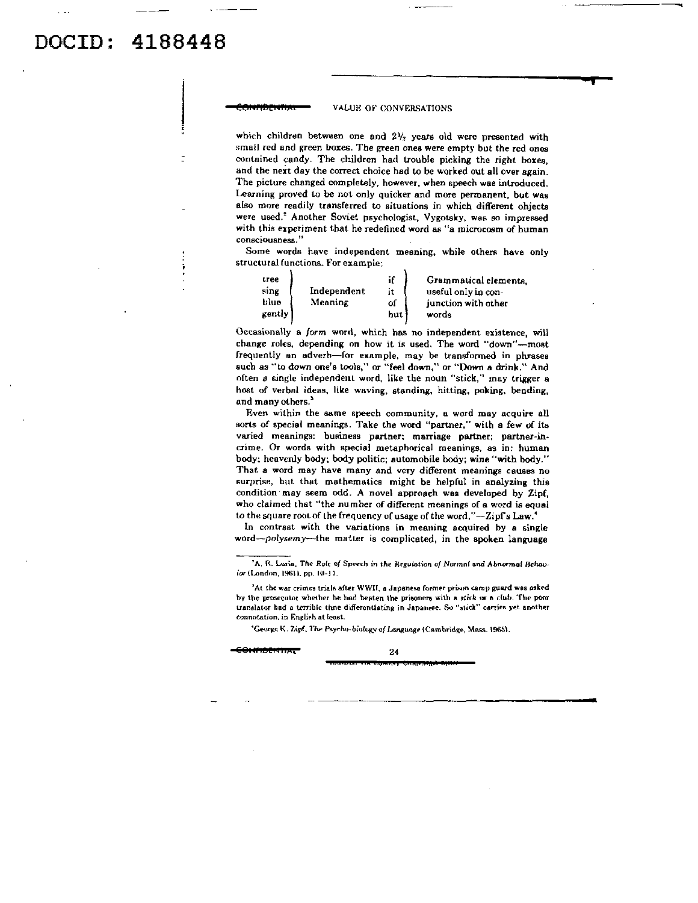VALUE OF CONVERSATIONS

which children between one and  $2\frac{1}{2}$  years old were presented with small red and green boxes. The green ones were empty but the red ones contained candy. The children had trouble picking the right boxes, and the next day the correct choice had to be worked out all over again. The picture changed completely, however, when speech was introduced. Learning proved lo be not only quicker and more permanent, but was also more readily transferred to situations in which different ohjects were used.<sup>2</sup> Another Soviet psychologist, Vygotsky, was so impressed with this experiment that he redefined word as "a microcosm of human consciousness.''

Some words have independent meaning, while others have only structural functions, For example:

| tree<br>sing<br>Independent<br>blue<br>Meaning<br>gently | if<br>it<br>of<br>hut | Grammatical elements.<br>useful only in con-<br>junction with other<br>words |
|----------------------------------------------------------|-----------------------|------------------------------------------------------------------------------|
|----------------------------------------------------------|-----------------------|------------------------------------------------------------------------------|

Occasionally a. form word, which has no independent existence, will change roles, depending on how it is used. The word "down"-most frequently an adverb-for example, may be transformed in phrases such as "to down one's tools," or "feel down," or "Down a drink." And often *8* single independent word, like the noun "stick," may trigger a host of verbal ideas, like waving, standing, hitting, poking, bending, and many others.<sup>3</sup>

Even within the same speech community, a word may acquire ell sorts of special meanings. Take the word "partner," with a few of its varied meanings: business partner; marriage partner; partner-in· crime. Or words with special metaphorical meanings, as in: human body; heavenly body; body Politic; automobile body; wine "with body." That a word may have many and very different meanings causes no surprise, but that mathematics might be helpful in analyzing this condition may seem odd. A novel approach was developed by Zipf, who claimed that "the number of different meanings of a word is equal to the square root of the frequency of usage of the word," $-Zipfs$  Law.<sup>4</sup>

In contrast with the variations in meaning acquired by a single word-polysemy-the matter is complicated, in the spoken language

'George K. Zipf. The Psycho-biology of Language (Cambridge, Mass. 1965).

<del>001 171 24</del>

<sup>&</sup>lt;sup>2</sup>A. R. Luria. The Role of Speech in the Regulotion of Normni and Abnormal Behavior (London, 1961), pp. 10-11.

<sup>&#</sup>x27;At the war crimes trials after WWII, a Japanese former prison camp guard was asked by the prosecutor whether he had beaten the prisoners with a stick or a club. The poor translator had a terrible time differentiating in Japanese. So "stick" carries yet another connotation, in English at least.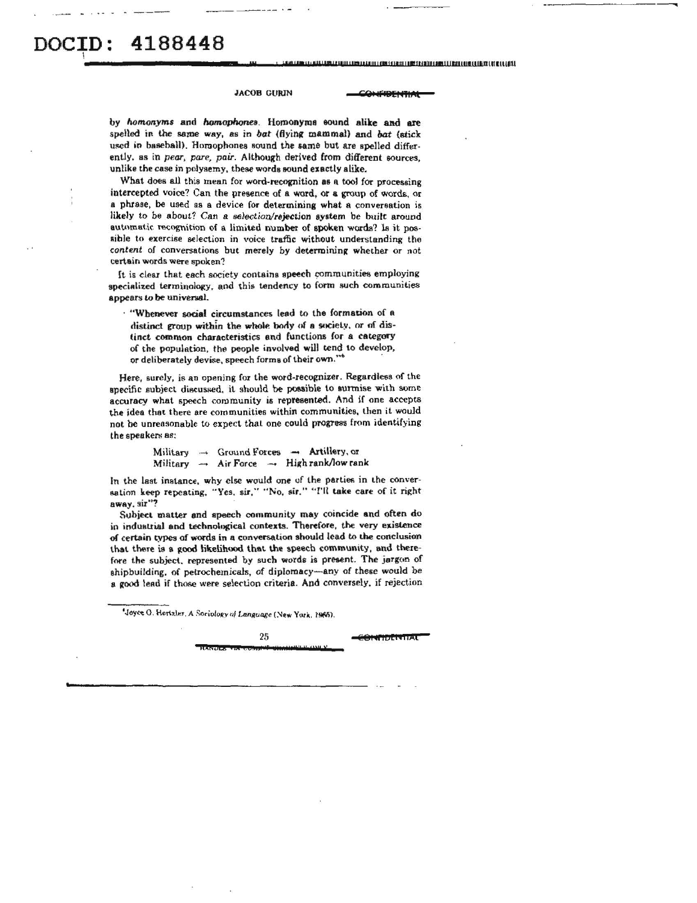# 4188448

.<br>In anti-the continues of the continues of the continues of the control of the control of the control of the control of the control of the control of the control of the control of the control of the control of the control

**JACOB GURIN** 

**IFIDENTIAL** 

by homonyms and homophones. Homonyms sound alike and are spelled in the same way, as in bat (flying mammal) and bat (stick used in baseball). Homophones sound the same but are spelled differently, as in pear, pare, pair. Although derived from different sources, unlike the case in polysemy, these words sound exactly alike.

What does all this mean for word-recognition as a tool for processing intercepted voice? Can the presence of a word, or a group of words, or a phrase, be used as a device for determining what a conversation is likely to be about? Can a selection/rejection system be built around automatic recognition of a limited number of spoken words? Is it possible to exercise selection in voice traffic without understanding the content of conversations but merely by determining whether or not certain words were spoken?

It is clear that each society contains speech communities employing specialized terminology, and this tendency to form such communities appears to be universal.

. "Whenever social circumstances lead to the formation of a distinct group within the whole body of a society, or of distinct common characteristics and functions for a category of the population, the people involved will tend to develop, or deliberately devise, speech forms of their own."\*

Here, surely, is an opening for the word-recognizer. Regardless of the specific subject discussed, it should be possible to surmise with some accuracy what speech community is represented. And if one accepts the idea that there are communities within communities, then it would not be unreasonable to expect that one could progress from identifying the speakers as:

> Military  $\rightarrow$  Ground Forces  $\rightarrow$  Artillery, or Military  $\rightarrow$  Air Force  $\rightarrow$  High rank/low rank

In the last instance, why else would one of the parties in the conversation keep repeating, "Yes, sir," "No, sir." "I'll take care of it right away, sir"?

Subject matter and speech community may coincide and often do in industrial and technological contexts. Therefore, the very existence of certain types of words in a conversation should lead to the conclusion that there is a good likelihood that the speech community, and therefore the subject, represented by such words is present. The jargon of shipbuilding, of petrochemicals, of diplomacy-any of these would be a good lead if those were selection criteria. And conversely, if rejection

Joyce O. Hertzler, A Sociology of Language (New York, 1965).

25